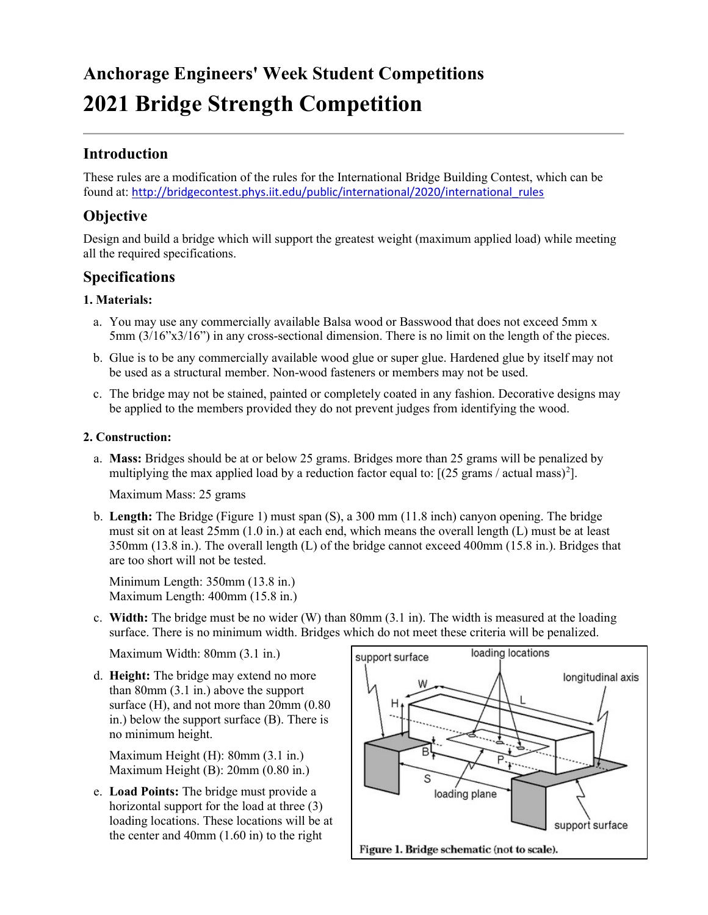# Anchorage Engineers' Week Student Competitions 2021 Bridge Strength Competition

# Introduction

These rules are a modification of the rules for the International Bridge Building Contest, which can be found at: http://bridgecontest.phys.iit.edu/public/international/2020/international\_rules

# **Objective**

Design and build a bridge which will support the greatest weight (maximum applied load) while meeting all the required specifications.

### Specifications

#### 1. Materials:

- a. You may use any commercially available Balsa wood or Basswood that does not exceed 5mm x 5mm (3/16"x3/16") in any cross-sectional dimension. There is no limit on the length of the pieces.
- b. Glue is to be any commercially available wood glue or super glue. Hardened glue by itself may not be used as a structural member. Non-wood fasteners or members may not be used.
- c. The bridge may not be stained, painted or completely coated in any fashion. Decorative designs may be applied to the members provided they do not prevent judges from identifying the wood.

#### 2. Construction:

a. Mass: Bridges should be at or below 25 grams. Bridges more than 25 grams will be penalized by multiplying the max applied load by a reduction factor equal to:  $[(25 \text{ grams} / \text{actual mass})^2]$ .

Maximum Mass: 25 grams

b. Length: The Bridge (Figure 1) must span (S), a 300 mm (11.8 inch) canyon opening. The bridge must sit on at least 25mm (1.0 in.) at each end, which means the overall length (L) must be at least 350mm (13.8 in.). The overall length (L) of the bridge cannot exceed 400mm (15.8 in.). Bridges that are too short will not be tested.

Minimum Length: 350mm (13.8 in.) Maximum Length: 400mm (15.8 in.)

c. Width: The bridge must be no wider (W) than  $80 \text{mm}$  (3.1 in). The width is measured at the loading surface. There is no minimum width. Bridges which do not meet these criteria will be penalized.

Maximum Width: 80mm (3.1 in.)

d. Height: The bridge may extend no more than 80mm (3.1 in.) above the support surface (H), and not more than  $20$ mm (0.80) in.) below the support surface (B). There is no minimum height.

Maximum Height (H): 80mm (3.1 in.) Maximum Height (B): 20mm (0.80 in.)

e. Load Points: The bridge must provide a horizontal support for the load at three (3) loading locations. These locations will be at the center and 40mm (1.60 in) to the right